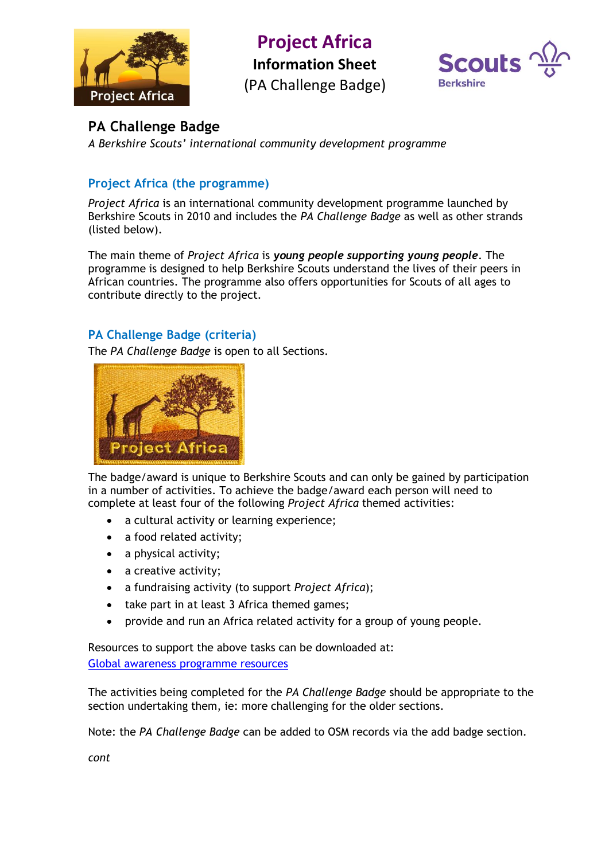

**Project Africa**

**Information Sheet**

(PA Challenge Badge)



# **PA Challenge Badge**

*A Berkshire Scouts' international community development programme*

## **Project Africa (the programme)**

*Project Africa* is an international community development programme launched by Berkshire Scouts in 2010 and includes the *PA Challenge Badge* as well as other strands (listed below).

The main theme of *Project Africa* is *young people supporting young people*. The programme is designed to help Berkshire Scouts understand the lives of their peers in African countries. The programme also offers opportunities for Scouts of all ages to contribute directly to the project.

## **PA Challenge Badge (criteria)**

The *PA Challenge Badge* is open to all Sections.



The badge/award is unique to Berkshire Scouts and can only be gained by participation in a number of activities. To achieve the badge/award each person will need to complete at least four of the following *Project Africa* themed activities:

- a cultural activity or learning experience;
- a food related activity;
- a physical activity;
- a creative activity;
- a fundraising activity (to support *Project Africa*);
- take part in at least 3 Africa themed games;
- provide and run an Africa related activity for a group of young people.

Resources to support the above tasks can be downloaded at: [Global awareness programme resources](https://apps.berkshirescouts.org.uk/gap2.php#/)

The activities being completed for the *PA Challenge Badge* should be appropriate to the section undertaking them, ie: more challenging for the older sections.

Note: the *PA Challenge Badge* can be added to OSM records via the add badge section.

*cont*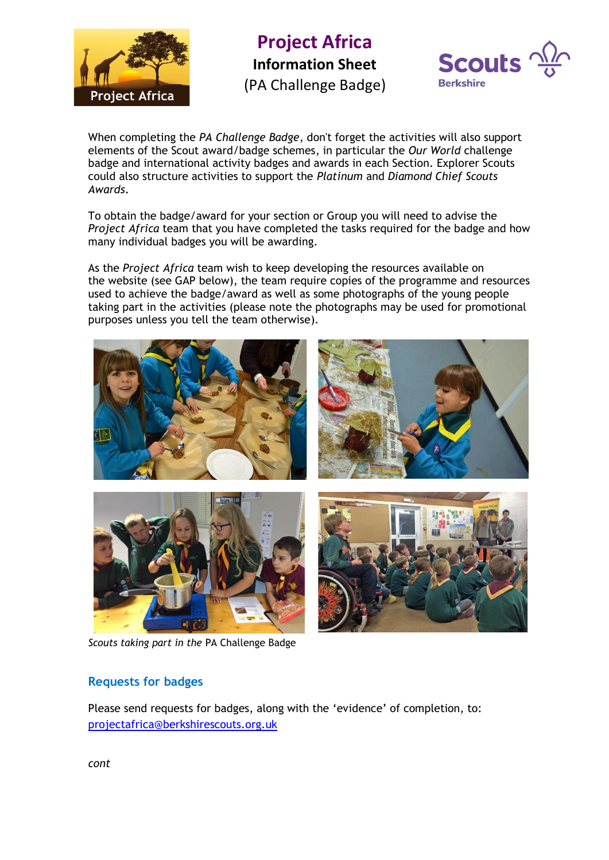

**Project Africa Information Sheet** (PA Challenge Badge)



When completing the *PA Challenge Badge*, don't forget the activities will also support elements of the Scout award/badge schemes, in particular the *Our World* challenge badge and international activity badges and awards in each Section. Explorer Scouts could also structure activities to support the *Platinum* and *Diamond Chief Scouts Awards*.

To obtain the badge/award for your section or Group you will need to advise the *Project Africa* team that you have completed the tasks required for the badge and how many individual badges you will be awarding.

As the *Project Africa* team wish to keep developing the resources available on the website (see GAP below), the team require copies of the programme and resources used to achieve the badge/award as well as some photographs of the young people taking part in the activities (please note the photographs may be used for promotional purposes unless you tell the team otherwise).



*Scouts taking part in the* PA Challenge Badge

## **Requests for badges**

Please send requests for badges, along with the 'evidence' of completion, to: [projectafrica@berkshirescouts.org.uk](mailto:projectafrica@berkshirescouts.org.uk)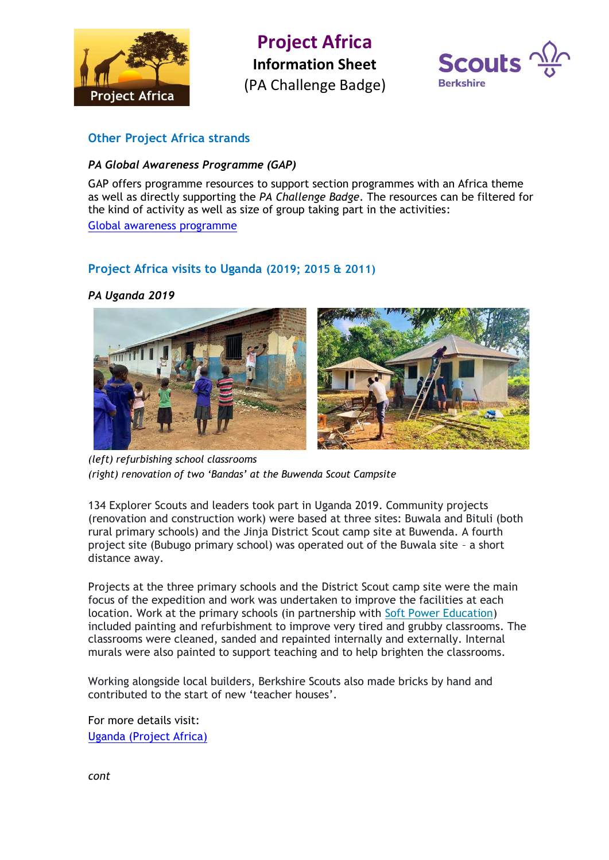

**Project Africa Information Sheet** (PA Challenge Badge)



### **Other Project Africa strands**

#### *PA Global Awareness Programme (GAP)*

GAP offers programme resources to support section programmes with an Africa theme as well as directly supporting the *PA Challenge Badge*. The resources can be filtered for the kind of activity as well as size of group taking part in the activities:

[Global awareness programme](https://www.berkshirescouts.org.uk/global-awareness-programme/)

### **Project Africa visits to Uganda (2019; 2015 & 2011)**

#### *PA Uganda 2019*



*(left) refurbishing school classrooms (right) renovation of two 'Bandas' at the Buwenda Scout Campsite*

134 Explorer Scouts and leaders took part in Uganda 2019. Community projects (renovation and construction work) were based at three sites: Buwala and Bituli (both rural primary schools) and the Jinja District Scout camp site at Buwenda. A fourth project site (Bubugo primary school) was operated out of the Buwala site – a short distance away.

Projects at the three primary schools and the District Scout camp site were the main focus of the expedition and work was undertaken to improve the facilities at each location. Work at the primary schools (in partnership with [Soft Power Education\)](http://www.softpowereducation.com/) included painting and refurbishment to improve very tired and grubby classrooms. The classrooms were cleaned, sanded and repainted internally and externally. Internal murals were also painted to support teaching and to help brighten the classrooms.

Working alongside local builders, Berkshire Scouts also made bricks by hand and contributed to the start of new 'teacher houses'.

For more details visit: [Uganda \(Project Africa\)](https://www.berkshirescouts.org.uk/international/uganda-2019/)